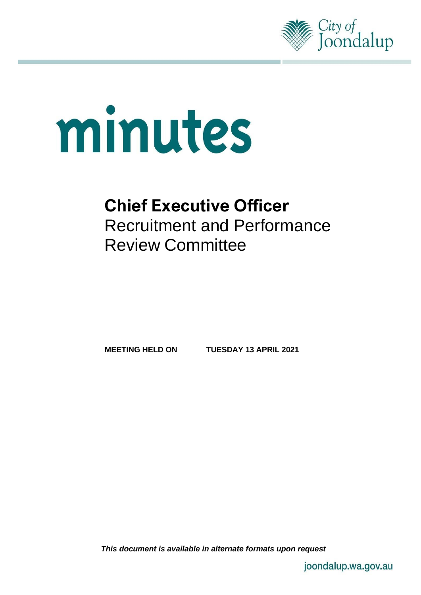

# minutes

# **Chief Executive Officer**  Recruitment and Performance Review Committee

**MEETING HELD ON TUESDAY 13 APRIL 2021**

*This document is available in alternate formats upon request*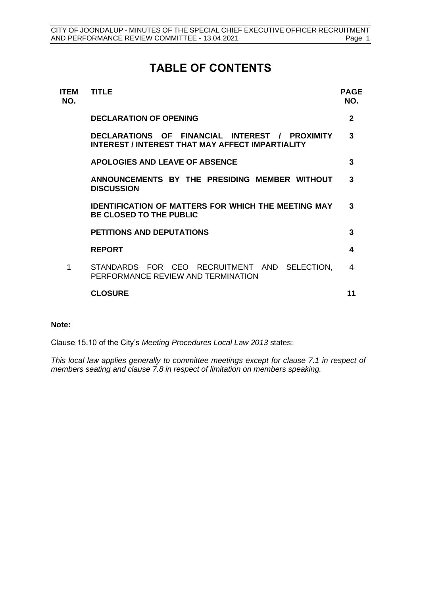# **TABLE OF CONTENTS**

| <b>ITEM</b><br>NO. | <b>TITLE</b>                                                                                       | PAGE<br>NO.  |
|--------------------|----------------------------------------------------------------------------------------------------|--------------|
|                    | <b>DECLARATION OF OPENING</b>                                                                      | $\mathbf{2}$ |
|                    | DECLARATIONS OF FINANCIAL INTEREST / PROXIMITY<br>INTEREST / INTEREST THAT MAY AFFECT IMPARTIALITY | 3            |
|                    | <b>APOLOGIES AND LEAVE OF ABSENCE</b>                                                              | 3            |
|                    | ANNOUNCEMENTS BY THE PRESIDING MEMBER WITHOUT<br><b>DISCUSSION</b>                                 | 3            |
|                    | <b>IDENTIFICATION OF MATTERS FOR WHICH THE MEETING MAY</b><br><b>BE CLOSED TO THE PUBLIC</b>       | 3            |
|                    | <b>PETITIONS AND DEPUTATIONS</b>                                                                   | 3            |
|                    | <b>REPORT</b>                                                                                      | 4            |
| 1                  | STANDARDS FOR CEO RECRUITMENT AND SELECTION.<br>PERFORMANCE REVIEW AND TERMINATION                 | 4            |
|                    | <b>CLOSURE</b>                                                                                     | 11           |
|                    |                                                                                                    |              |

#### **Note:**

Clause 15.10 of the City's *Meeting Procedures Local Law 2013* states:

*This local law applies generally to committee meetings except for clause 7.1 in respect of members seating and clause 7.8 in respect of limitation on members speaking.*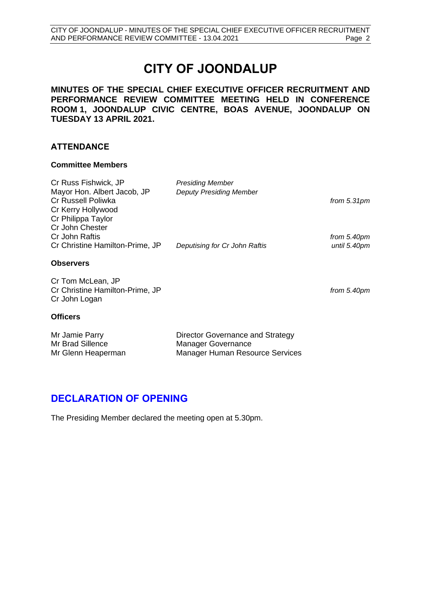# **CITY OF JOONDALUP**

**MINUTES OF THE SPECIAL CHIEF EXECUTIVE OFFICER RECRUITMENT AND PERFORMANCE REVIEW COMMITTEE MEETING HELD IN CONFERENCE ROOM 1, JOONDALUP CIVIC CENTRE, BOAS AVENUE, JOONDALUP ON TUESDAY 13 APRIL 2021.**

#### **ATTENDANCE**

#### **Committee Members**

| Cr Russ Fishwick, JP            | <b>Presiding Member</b>        |               |
|---------------------------------|--------------------------------|---------------|
| Mayor Hon. Albert Jacob, JP     | <b>Deputy Presiding Member</b> |               |
| Cr Russell Poliwka              |                                | from $5.31pm$ |
| Cr Kerry Hollywood              |                                |               |
| Cr Philippa Taylor              |                                |               |
| Cr John Chester                 |                                |               |
| Cr John Raftis                  |                                | from 5.40pm   |
| Cr Christine Hamilton-Prime, JP | Deputising for Cr John Raftis  | until 5.40pm  |
|                                 |                                |               |
| <b>Observers</b>                |                                |               |
| Cr Tom McLean, JP               |                                |               |
| Cr Christine Hamilton-Prime, JP |                                | from 5.40pm   |
| Cr John Logan                   |                                |               |
|                                 |                                |               |
| <b>Officers</b>                 |                                |               |

| Mr Jamie Parry     | Director Governance and Strategy |
|--------------------|----------------------------------|
| Mr Brad Sillence   | Manager Governance               |
| Mr Glenn Heaperman | Manager Human Resource Services  |

# <span id="page-2-0"></span>**DECLARATION OF OPENING**

The Presiding Member declared the meeting open at 5.30pm.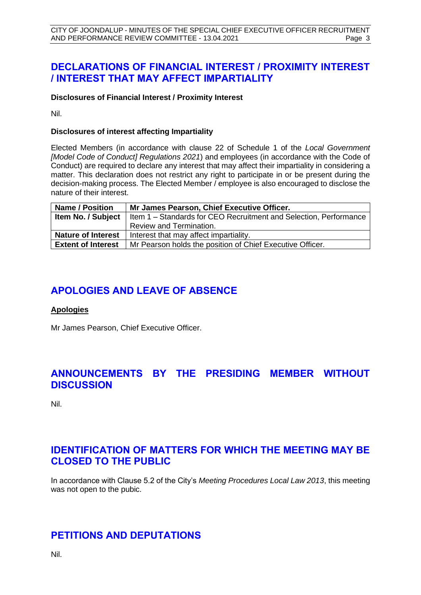# <span id="page-3-0"></span>**DECLARATIONS OF FINANCIAL INTEREST / PROXIMITY INTEREST / INTEREST THAT MAY AFFECT IMPARTIALITY**

#### **Disclosures of Financial Interest / Proximity Interest**

Nil.

#### **Disclosures of interest affecting Impartiality**

Elected Members (in accordance with clause 22 of Schedule 1 of the *Local Government [Model Code of Conduct] Regulations 2021*) and employees (in accordance with the Code of Conduct) are required to declare any interest that may affect their impartiality in considering a matter. This declaration does not restrict any right to participate in or be present during the decision-making process. The Elected Member / employee is also encouraged to disclose the nature of their interest.

| <b>Name / Position</b>    | Mr James Pearson, Chief Executive Officer.                        |
|---------------------------|-------------------------------------------------------------------|
| Item No. / Subject        | Item 1 – Standards for CEO Recruitment and Selection, Performance |
|                           | Review and Termination.                                           |
| <b>Nature of Interest</b> | Interest that may affect impartiality.                            |
| <b>Extent of Interest</b> | Mr Pearson holds the position of Chief Executive Officer.         |

# <span id="page-3-1"></span>**APOLOGIES AND LEAVE OF ABSENCE**

#### **Apologies**

Mr James Pearson, Chief Executive Officer.

# <span id="page-3-2"></span>**ANNOUNCEMENTS BY THE PRESIDING MEMBER WITHOUT DISCUSSION**

Nil.

# <span id="page-3-3"></span>**IDENTIFICATION OF MATTERS FOR WHICH THE MEETING MAY BE CLOSED TO THE PUBLIC**

In accordance with Clause 5.2 of the City's *Meeting Procedures Local Law 2013*, this meeting was not open to the pubic.

# <span id="page-3-4"></span>**PETITIONS AND DEPUTATIONS**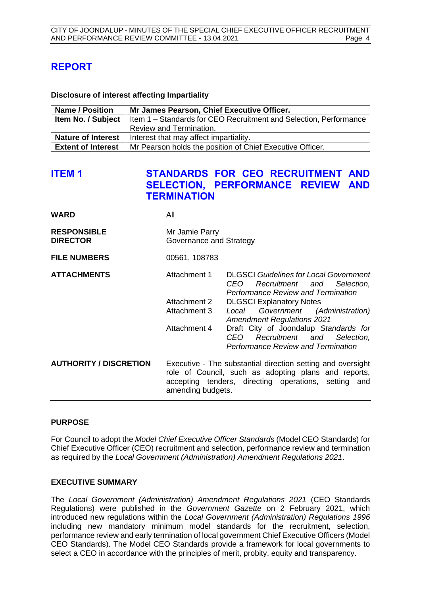# <span id="page-4-0"></span>**REPORT**

**Disclosure of interest affecting Impartiality**

| <b>Name / Position</b>    | Mr James Pearson, Chief Executive Officer.                          |
|---------------------------|---------------------------------------------------------------------|
| Item No. / Subject        | I Item 1 – Standards for CEO Recruitment and Selection, Performance |
|                           | Review and Termination.                                             |
| <b>Nature of Interest</b> | Interest that may affect impartiality.                              |
| <b>Extent of Interest</b> | Mr Pearson holds the position of Chief Executive Officer.           |

# <span id="page-4-1"></span>**ITEM 1 STANDARDS FOR CEO RECRUITMENT AND SELECTION, PERFORMANCE REVIEW AND TERMINATION**

| <b>WARD</b>                           | All                                                                                                                                                                                              |                                                                                                                              |
|---------------------------------------|--------------------------------------------------------------------------------------------------------------------------------------------------------------------------------------------------|------------------------------------------------------------------------------------------------------------------------------|
| <b>RESPONSIBLE</b><br><b>DIRECTOR</b> | Mr Jamie Parry<br>Governance and Strategy                                                                                                                                                        |                                                                                                                              |
| <b>FILE NUMBERS</b>                   | 00561, 108783                                                                                                                                                                                    |                                                                                                                              |
| <b>ATTACHMENTS</b>                    | Attachment 1                                                                                                                                                                                     | <b>DLGSCI</b> Guidelines for Local Government<br>CEO Recruitment and Selection,<br><b>Performance Review and Termination</b> |
|                                       | Attachment 2                                                                                                                                                                                     | <b>DLGSCI Explanatory Notes</b>                                                                                              |
|                                       | Attachment 3                                                                                                                                                                                     | Local<br>Government (Administration)<br><b>Amendment Regulations 2021</b>                                                    |
|                                       | Attachment 4                                                                                                                                                                                     | Draft City of Joondalup Standards for<br>CEO<br>Recruitment and<br>Selection,<br><b>Performance Review and Termination</b>   |
| <b>AUTHORITY / DISCRETION</b>         | Executive - The substantial direction setting and oversight<br>role of Council, such as adopting plans and reports,<br>accepting tenders, directing operations, setting and<br>amending budgets. |                                                                                                                              |
|                                       |                                                                                                                                                                                                  |                                                                                                                              |

#### **PURPOSE**

For Council to adopt the *Model Chief Executive Officer Standards* (Model CEO Standards) for Chief Executive Officer (CEO) recruitment and selection, performance review and termination as required by the *Local Government (Administration) Amendment Regulations 2021*.

#### **EXECUTIVE SUMMARY**

The *Local Government (Administration) Amendment Regulations 2021* (CEO Standards Regulations) were published in the *Government Gazette* on 2 February 2021, which introduced new regulations within the *Local Government (Administration) Regulations 1996*  including new mandatory minimum model standards for the recruitment, selection, performance review and early termination of local government Chief Executive Officers (Model CEO Standards). The Model CEO Standards provide a framework for local governments to select a CEO in accordance with the principles of merit, probity, equity and transparency.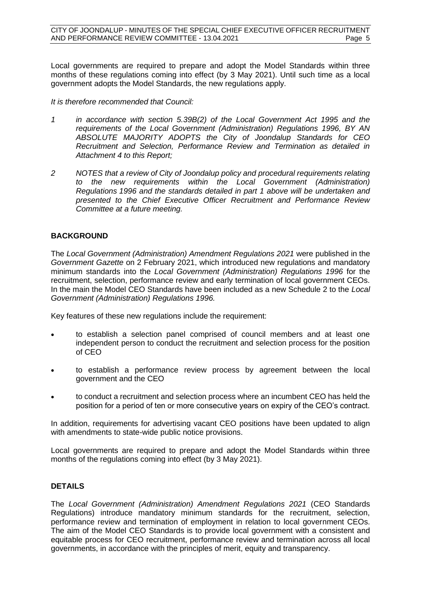Local governments are required to prepare and adopt the Model Standards within three months of these regulations coming into effect (by 3 May 2021). Until such time as a local government adopts the Model Standards, the new regulations apply.

#### *It is therefore recommended that Council:*

- *1 in accordance with section 5.39B(2) of the Local Government Act 1995 and the requirements of the Local Government (Administration) Regulations 1996, BY AN ABSOLUTE MAJORITY ADOPTS the City of Joondalup Standards for CEO Recruitment and Selection, Performance Review and Termination as detailed in Attachment 4 to this Report;*
- *2 NOTES that a review of City of Joondalup policy and procedural requirements relating to the new requirements within the Local Government (Administration) Regulations 1996 and the standards detailed in part 1 above will be undertaken and presented to the Chief Executive Officer Recruitment and Performance Review Committee at a future meeting.*

#### **BACKGROUND**

The *Local Government (Administration) Amendment Regulations 2021* were published in the *Government Gazette* on 2 February 2021, which introduced new regulations and mandatory minimum standards into the *Local Government (Administration) Regulations 1996* for the recruitment, selection, performance review and early termination of local government CEOs. In the main the Model CEO Standards have been included as a new Schedule 2 to the *Local Government (Administration) Regulations 1996.* 

Key features of these new regulations include the requirement:

- to establish a selection panel comprised of council members and at least one independent person to conduct the recruitment and selection process for the position of CEO
- to establish a performance review process by agreement between the local government and the CEO
- to conduct a recruitment and selection process where an incumbent CEO has held the position for a period of ten or more consecutive years on expiry of the CEO's contract.

In addition, requirements for advertising vacant CEO positions have been updated to align with amendments to state-wide public notice provisions.

Local governments are required to prepare and adopt the Model Standards within three months of the regulations coming into effect (by 3 May 2021).

#### **DETAILS**

The *Local Government (Administration) Amendment Regulations 2021* (CEO Standards Regulations) introduce mandatory minimum standards for the recruitment, selection, performance review and termination of employment in relation to local government CEOs. The aim of the Model CEO Standards is to provide local government with a consistent and equitable process for CEO recruitment, performance review and termination across all local governments, in accordance with the principles of merit, equity and transparency.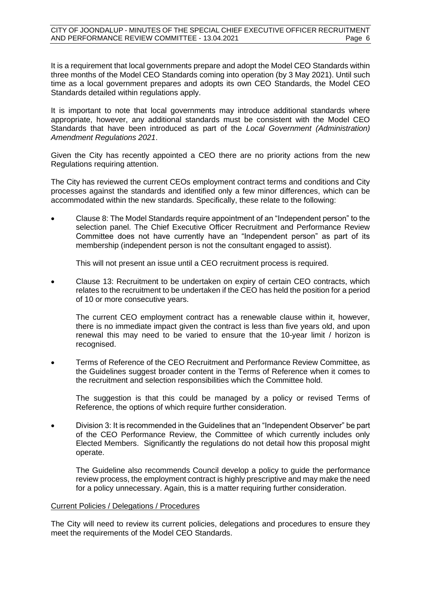It is a requirement that local governments prepare and adopt the Model CEO Standards within three months of the Model CEO Standards coming into operation (by 3 May 2021). Until such time as a local government prepares and adopts its own CEO Standards, the Model CEO Standards detailed within regulations apply.

It is important to note that local governments may introduce additional standards where appropriate, however, any additional standards must be consistent with the Model CEO Standards that have been introduced as part of the *Local Government (Administration) Amendment Regulations 2021*.

Given the City has recently appointed a CEO there are no priority actions from the new Regulations requiring attention.

The City has reviewed the current CEOs employment contract terms and conditions and City processes against the standards and identified only a few minor differences, which can be accommodated within the new standards. Specifically, these relate to the following:

• Clause 8: The Model Standards require appointment of an "Independent person" to the selection panel. The Chief Executive Officer Recruitment and Performance Review Committee does not have currently have an "Independent person" as part of its membership (independent person is not the consultant engaged to assist).

This will not present an issue until a CEO recruitment process is required.

• Clause 13: Recruitment to be undertaken on expiry of certain CEO contracts, which relates to the recruitment to be undertaken if the CEO has held the position for a period of 10 or more consecutive years.

The current CEO employment contract has a renewable clause within it, however, there is no immediate impact given the contract is less than five years old, and upon renewal this may need to be varied to ensure that the 10-year limit / horizon is recognised.

• Terms of Reference of the CEO Recruitment and Performance Review Committee, as the Guidelines suggest broader content in the Terms of Reference when it comes to the recruitment and selection responsibilities which the Committee hold.

The suggestion is that this could be managed by a policy or revised Terms of Reference, the options of which require further consideration.

• Division 3: It is recommended in the Guidelines that an "Independent Observer" be part of the CEO Performance Review, the Committee of which currently includes only Elected Members. Significantly the regulations do not detail how this proposal might operate.

The Guideline also recommends Council develop a policy to guide the performance review process, the employment contract is highly prescriptive and may make the need for a policy unnecessary. Again, this is a matter requiring further consideration.

#### Current Policies / Delegations / Procedures

The City will need to review its current policies, delegations and procedures to ensure they meet the requirements of the Model CEO Standards.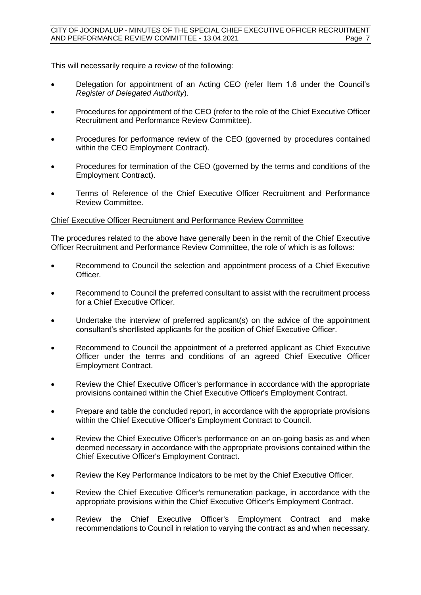This will necessarily require a review of the following:

- Delegation for appointment of an Acting CEO (refer Item 1.6 under the Council's *Register of Delegated Authority*).
- Procedures for appointment of the CEO (refer to the role of the Chief Executive Officer Recruitment and Performance Review Committee).
- Procedures for performance review of the CEO (governed by procedures contained within the CEO Employment Contract).
- Procedures for termination of the CEO (governed by the terms and conditions of the Employment Contract).
- Terms of Reference of the Chief Executive Officer Recruitment and Performance Review Committee.

#### Chief Executive Officer Recruitment and Performance Review Committee

The procedures related to the above have generally been in the remit of the Chief Executive Officer Recruitment and Performance Review Committee, the role of which is as follows:

- Recommend to Council the selection and appointment process of a Chief Executive Officer.
- Recommend to Council the preferred consultant to assist with the recruitment process for a Chief Executive Officer.
- Undertake the interview of preferred applicant(s) on the advice of the appointment consultant's shortlisted applicants for the position of Chief Executive Officer.
- Recommend to Council the appointment of a preferred applicant as Chief Executive Officer under the terms and conditions of an agreed Chief Executive Officer Employment Contract.
- Review the Chief Executive Officer's performance in accordance with the appropriate provisions contained within the Chief Executive Officer's Employment Contract.
- Prepare and table the concluded report, in accordance with the appropriate provisions within the Chief Executive Officer's Employment Contract to Council.
- Review the Chief Executive Officer's performance on an on-going basis as and when deemed necessary in accordance with the appropriate provisions contained within the Chief Executive Officer's Employment Contract.
- Review the Key Performance Indicators to be met by the Chief Executive Officer.
- Review the Chief Executive Officer's remuneration package, in accordance with the appropriate provisions within the Chief Executive Officer's Employment Contract.
- Review the Chief Executive Officer's Employment Contract and make recommendations to Council in relation to varying the contract as and when necessary.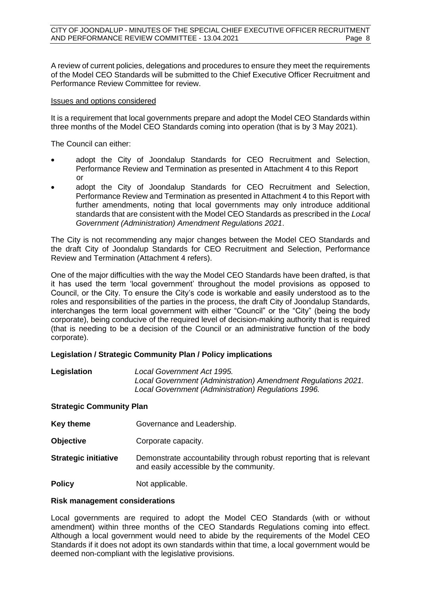A review of current policies, delegations and procedures to ensure they meet the requirements of the Model CEO Standards will be submitted to the Chief Executive Officer Recruitment and Performance Review Committee for review.

#### Issues and options considered

It is a requirement that local governments prepare and adopt the Model CEO Standards within three months of the Model CEO Standards coming into operation (that is by 3 May 2021).

The Council can either:

- adopt the City of Joondalup Standards for CEO Recruitment and Selection, Performance Review and Termination as presented in Attachment 4 to this Report or
- adopt the City of Joondalup Standards for CEO Recruitment and Selection, Performance Review and Termination as presented in Attachment 4 to this Report with further amendments, noting that local governments may only introduce additional standards that are consistent with the Model CEO Standards as prescribed in the *Local Government (Administration) Amendment Regulations 2021*.

The City is not recommending any major changes between the Model CEO Standards and the draft City of Joondalup Standards for CEO Recruitment and Selection, Performance Review and Termination (Attachment 4 refers).

One of the major difficulties with the way the Model CEO Standards have been drafted, is that it has used the term 'local government' throughout the model provisions as opposed to Council, or the City. To ensure the City's code is workable and easily understood as to the roles and responsibilities of the parties in the process, the draft City of Joondalup Standards, interchanges the term local government with either "Council" or the "City" (being the body corporate), being conducive of the required level of decision-making authority that is required (that is needing to be a decision of the Council or an administrative function of the body corporate).

#### **Legislation / Strategic Community Plan / Policy implications**

| Legislation | Local Government Act 1995.                                    |
|-------------|---------------------------------------------------------------|
|             | Local Government (Administration) Amendment Regulations 2021. |
|             | Local Government (Administration) Regulations 1996.           |

#### **Strategic Community Plan**

- **Key theme Governance and Leadership.**
- **Objective Corporate capacity.**
- **Strategic initiative** Demonstrate accountability through robust reporting that is relevant and easily accessible by the community.

**Policy** Not applicable.

#### **Risk management considerations**

Local governments are required to adopt the Model CEO Standards (with or without amendment) within three months of the CEO Standards Regulations coming into effect. Although a local government would need to abide by the requirements of the Model CEO Standards if it does not adopt its own standards within that time, a local government would be deemed non-compliant with the legislative provisions.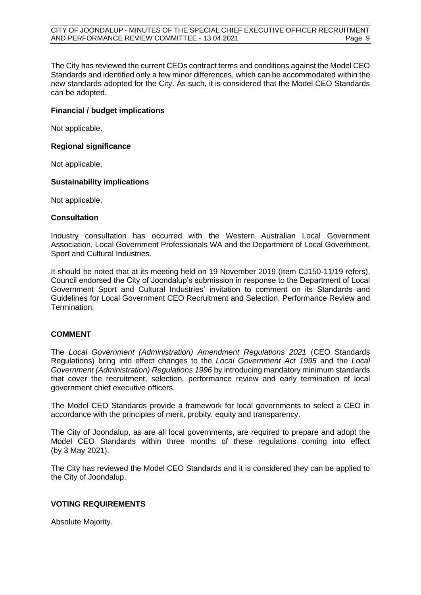The City has reviewed the current CEOs contract terms and conditions against the Model CEO Standards and identified only a few minor differences, which can be accommodated within the new standards adopted for the City. As such, it is considered that the Model CEO Standards can be adopted.

#### **Financial / budget implications**

Not applicable.

#### **Regional significance**

Not applicable.

#### **Sustainability implications**

Not applicable.

#### **Consultation**

Industry consultation has occurred with the Western Australian Local Government Association, Local Government Professionals WA and the Department of Local Government, Sport and Cultural Industries.

It should be noted that at its meeting held on 19 November 2019 (Item CJ150-11/19 refers), Council endorsed the City of Joondalup's submission in response to the Department of Local Government Sport and Cultural Industries' invitation to comment on its Standards and Guidelines for Local Government CEO Recruitment and Selection, Performance Review and Termination.

#### **COMMENT**

The *Local Government (Administration) Amendment Regulations 2021* (CEO Standards Regulations) bring into effect changes to the *Local Government Act 1995* and the *Local Government (Administration) Regulations 1996* by introducing mandatory minimum standards that cover the recruitment, selection, performance review and early termination of local government chief executive officers.

The Model CEO Standards provide a framework for local governments to select a CEO in accordance with the principles of merit, probity, equity and transparency.

The City of Joondalup, as are all local governments, are required to prepare and adopt the Model CEO Standards within three months of these regulations coming into effect (by 3 May 2021).

The City has reviewed the Model CEO Standards and it is considered they can be applied to the City of Joondalup.

#### **VOTING REQUIREMENTS**

Absolute Majority.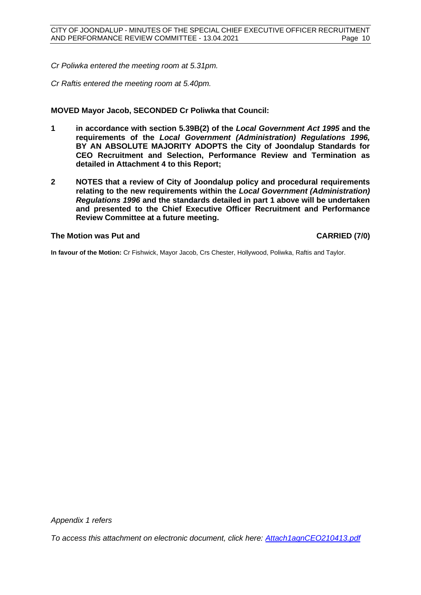*Cr Poliwka entered the meeting room at 5.31pm.*

*Cr Raftis entered the meeting room at 5.40pm.* 

#### **MOVED Mayor Jacob, SECONDED Cr Poliwka that Council:**

- **1 in accordance with section 5.39B(2) of the** *Local Government Act 1995* **and the requirements of the** *Local Government (Administration) Regulations 1996,*  **BY AN ABSOLUTE MAJORITY ADOPTS the City of Joondalup Standards for CEO Recruitment and Selection, Performance Review and Termination as detailed in Attachment 4 to this Report;**
- **2 NOTES that a review of City of Joondalup policy and procedural requirements relating to the new requirements within the** *Local Government (Administration) Regulations 1996* **and the standards detailed in part 1 above will be undertaken and presented to the Chief Executive Officer Recruitment and Performance Review Committee at a future meeting.**

#### **The Motion was Put and CARRIED (7/0)**

**In favour of the Motion:** Cr Fishwick, Mayor Jacob, Crs Chester, Hollywood, Poliwka, Raftis and Taylor.

*Appendix 1 refers*

*[To access this attachment on electronic document, click here: Attach1agnCEO210413.pdf](http://www.joondalup.wa.gov.au/files/committees/CEORP/2021/Attach1agnCEO210413.pdf)*